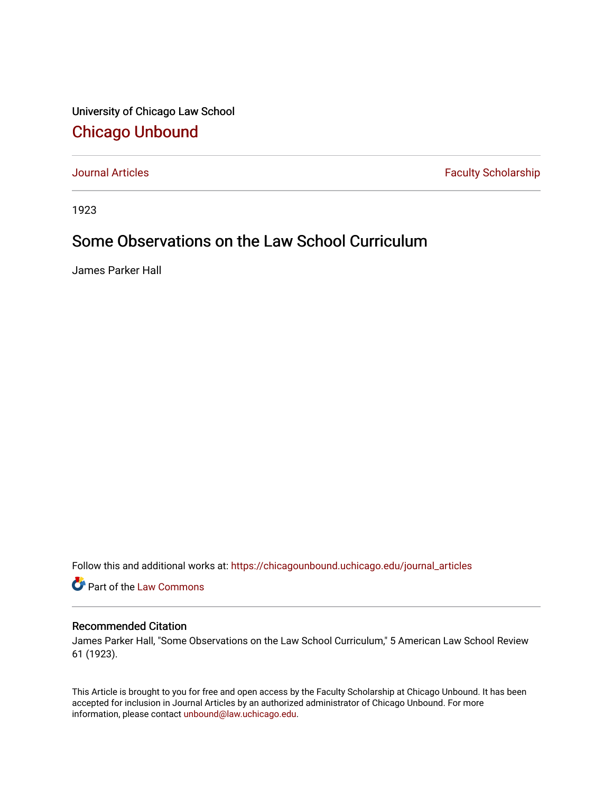University of Chicago Law School [Chicago Unbound](https://chicagounbound.uchicago.edu/)

[Journal Articles](https://chicagounbound.uchicago.edu/journal_articles) **Faculty Scholarship Faculty Scholarship** 

1923

### Some Observations on the Law School Curriculum

James Parker Hall

Follow this and additional works at: [https://chicagounbound.uchicago.edu/journal\\_articles](https://chicagounbound.uchicago.edu/journal_articles?utm_source=chicagounbound.uchicago.edu%2Fjournal_articles%2F9384&utm_medium=PDF&utm_campaign=PDFCoverPages) 

Part of the [Law Commons](http://network.bepress.com/hgg/discipline/578?utm_source=chicagounbound.uchicago.edu%2Fjournal_articles%2F9384&utm_medium=PDF&utm_campaign=PDFCoverPages)

#### Recommended Citation

James Parker Hall, "Some Observations on the Law School Curriculum," 5 American Law School Review 61 (1923).

This Article is brought to you for free and open access by the Faculty Scholarship at Chicago Unbound. It has been accepted for inclusion in Journal Articles by an authorized administrator of Chicago Unbound. For more information, please contact [unbound@law.uchicago.edu](mailto:unbound@law.uchicago.edu).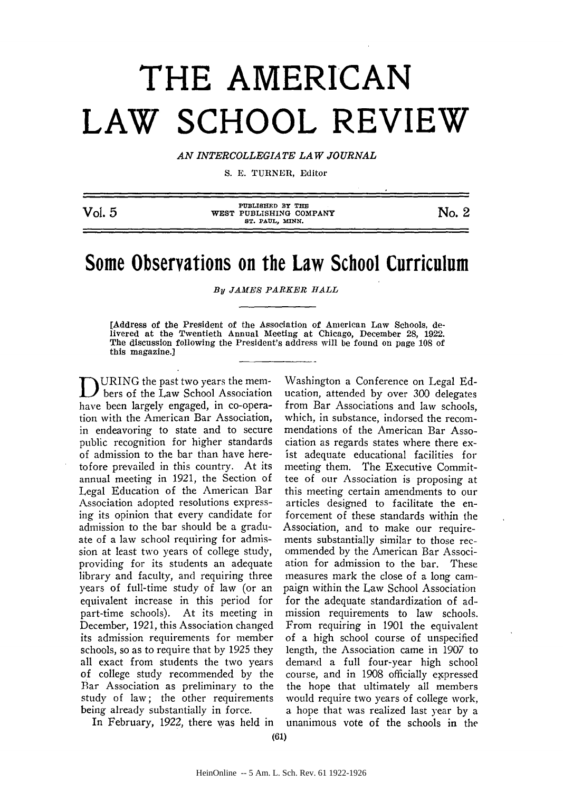# **THE AMERICAN LAW SCHOOL REVIEW**

*AN INTERCOLLEGIATE LAW JOURNAL*

S. E. TURNER, Editor

| Vol. 5 | PUBLISHED BY THE<br>WEST PUBLISHING COMPANY<br>ST. PAUL. MINN. | No. 2 |
|--------|----------------------------------------------------------------|-------|
|        |                                                                |       |

## **Some Observations on the Law School Curriculum**

*By JAMES PARKER BALL*

[Address of the President of the Association of American Law Schools, delivered at the Twentieth Annual Meeting at Chicago, December 28, 1922. The discussion following the President's address will be found on page 108 of this magazine.]

URING the past two years the mem- $\boldsymbol{U}$  bers of the Law School Association have been largely engaged, in co-operation with the American Bar Association, in endeavoring to state and to secure public recognition for higher standards of admission to the bar than have heretofore prevailed in this country. At its annual meeting in 1921, the Section of Legal Education of the American Bar Association adopted resolutions expressing its opinion that every candidate for admission to the bar should be a graduate of a law school requiring for admission at least two years of college study, providing for its students an adequate library and faculty, and requiring three years of full-time study of law (or an equivalent increase in this period for part-time schools). At its meeting in December, 1921, this Association changed its admission requirements for member schools, so as to require that by 1925 they all exact from students the two years of college study recommended by the Bar Association as preliminary to the study of law; the other requirements being already substantially in force.

Washington a Conference on Legal Education, attended by over 300 delegates from Bar Associations and law schools, which, in substance, indorsed the recommendations of the American Bar Association as regards states where there exist adequate educational facilities for meeting them. The Executive Committee of our Association is proposing at this meeting certain amendments to our articles designed to facilitate the enforcement of these standards within the Association, and to make our requirements substantially similar to those recommended by the American Bar Association for admission to the bar. These measures mark the close of a long campaign within the Law School Association for the adequate standardization of admission requirements to law schools. From requiring in 1901 the equivalent of a high school course of unspecified length, the Association came in 1907 to demand a full four-year high school course, and in 1908 officially expressed the hope that ultimately all members would require two years of college work, a hope that was realized last year by a unanimous vote of the schools in the

In February, 1922, there was held in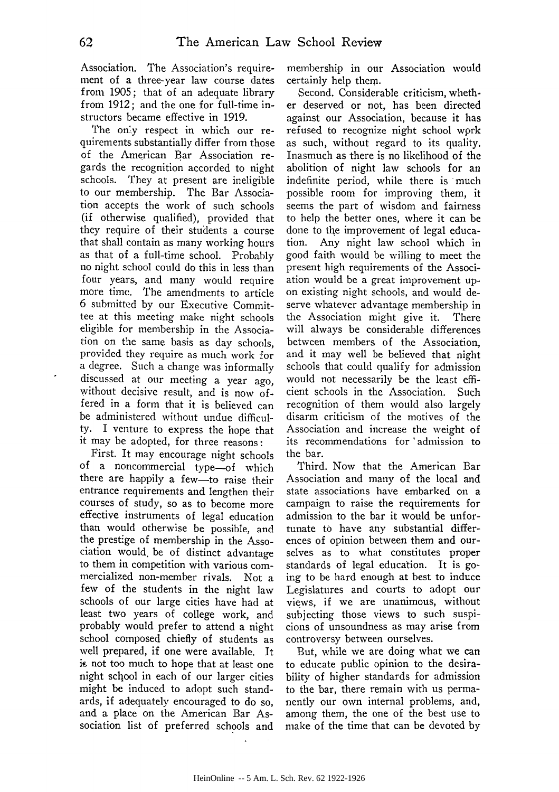Association. The Association's requirement of a three-year law course dates from 1905; that of an adequate library from 1912; and the one for full-time instructors became effective in 1919.

The only respect in which our requirements substantially differ from those of the American Bar Association regards the recognition accorded to night schools. They at present are ineligible to our membership. The Bar Association accepts the work of such schools (if otherwise qualified), provided that they require of their students a course that shall contain as many working hours as that of a full-time school. Probably no night school could do this in less than four years, and many would require more time. The amendments to article 6 submitted by our Executive Committee at this meeting make night schools eligible for membership in the Association on the same basis as day schools, provided they require as much work for a degree. Such a change was informally discussed at our meeting a year ago, without decisive result, and is now offered in a form that it is believed can be administered without undue difficulty. I venture to express the hope that it may be adopted, for three reasons:

First. It may encourage night schools of a noncommercial type-of which there are happily a few-to raise their entrance requirements and lengthen their courses of study, so as to become more effective instruments of legal education than would otherwise be possible, and the prestige of membership in the Association would, be of distinct advantage to them in competition with various commercialized non-member rivals. Not a few of the students in the night law schools of our large cities have had at least two years of college work, and probably would prefer to attend a night school composed chiefly of students as well prepared, if one were available. It is not too much to hope that at least one night school in each of our larger cities might be induced to adopt such standards, if adequately encouraged to do so, and a place on the American Bar Association list of preferred schools and

membership in our Association would certainly help them.

Second. Considerable criticism, whether deserved or not, has been directed against our Association, because it has refused to recognize night school wprk as such, without regard to its quality. Inasmuch as there is no likelihood of the abolition of night law schools for an indefinite period, while there is much possible room for improving them, it seems the part of wisdom and fairness to help the better ones, where it can be done to the improvement of legal education. Any night law school which in good faith would be willing to meet the present high requirements of the Association would be a great improvement upon existing night schools, and would deserve whatever advantage membership in the Association might give it. There will always be considerable differences between members of the Association, and it may well be believed that night schools that could qualify for admission would not necessarily be the least efficient schools in the Association. Such recognition of them would also largely disarm criticism of the motives of the Association and increase the weight of its recommendations for 'admission to the bar.

Third. Now that the American Bar Association and many of the local and state associations have embarked on a campaign to raise the requirements for admission to the bar it would be unfortunate to have any substantial differences of opinion between them and ourselves as to what constitutes proper standards of legal education. It is going to be hard enough at best to induce Legislatures and courts to adopt our views, if we are unanimous, without subjecting those views to such suspicions of unsoundness as may arise from controversy between ourselves.

But, while we are doing what we can to educate public opinion to the desirability of higher standards for admission to the bar, there remain with us permanently our own internal problems, and, among them, the one of the best use to make of the time that can be devoted by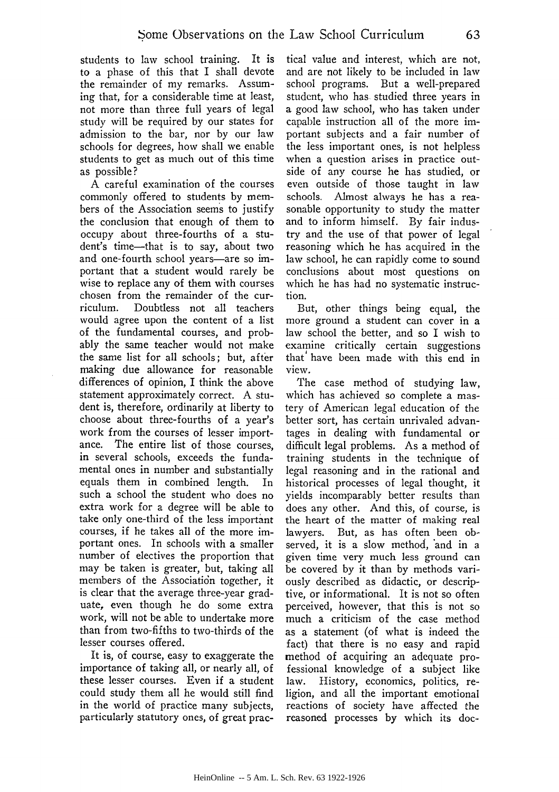students to law school training. It is to a phase of this that I shall devote the remainder of my remarks. Assuming that, for a considerable time at least, not more than three full years of legal study will be required by our states for admission to the bar, nor by our law schools for degrees, how shall we enable students to get as much out of this time as possible?

A careful examination of the courses commonly offered to students by members of the Association seems to justify the conclusion that enough of them to occupy about three-fourths of a student's time-that is to say, about two and one-fourth school years-are so important that a student would rarely be wise to replace any of them with courses chosen from the remainder of the curriculum. Doubtless not all teachers would agree upon the content of a list of the fundamental courses, and probably the same teacher would not make the same list for all schools; but, after making due allowance for reasonable differences of opinion, I think the above statement approximately correct. A student is, therefore, ordinarily at liberty to choose about three-fourths of a year's work from the courses of lesser importance. The entire list of those courses, in several schools, exceeds the fundamental ones in number and substantially equals them in combined length. In such a school the student who does no extra work for a degree will be able to take only one-third of the less important courses, if he takes all of the more important ones. In schools with a smaller number of electives the proportion that may be taken is greater, but, taking all members of the Association together, it is clear that the average three-year graduate, even though he do some extra work, will not be able to undertake more than from two-fifths to two-thirds of the lesser courses offered.

It is, of course, easy to exaggerate the importance of taking all, or nearly all, of these lesser courses. Even if a student could study them all he would still find in the world of practice many subjects, particularly statutory ones, of great prac-

tical value and interest, which are not, and are not likely to be included in law school programs. But a well-prepared student, who has studied three years in a good law school, who has taken under capable instruction all of the more important subjects and a fair number of the less important ones, is not helpless when a question arises in practice outside of any course he has studied, or even outside of those taught in law schools. Almost always he has a reasonable opportunity to study the matter and to inform himself. By fair industry and the use of that power of legal reasoning which he has acquired in the law school, he can rapidly come to sound conclusions about most questions on which he has had no systematic instruction.

But, other things being equal, the more ground a student can cover in a law school the better, and so I wish to examine critically certain suggestions that' have been made with this end in view.

The case method of studying law, which has achieved so complete a mastery of American legal education of the better sort, has certain unrivaled advantages in dealing with fundamental or difficult legal problems. As a method of training students in the technique of legal reasoning and in the rational and historical processes of legal thought, it yields incomparably better results than does any other. And this, of course, is the heart of the matter of making real lawyers. But, as has often been observed, it is a slow method, and in a given time very much less ground can be covered by it than by methods variously described as didactic, or descriptive, or informational. It is not so often perceived, however, that this is not so much a criticism of the case method as a statement (of what is indeed the fact) that there is no easy and rapid method of acquiring an adequate professional knowledge of a subject like law. History, economics, politics, religion, and all the important emotional reactions of society have affected the reasoned processes by which its doc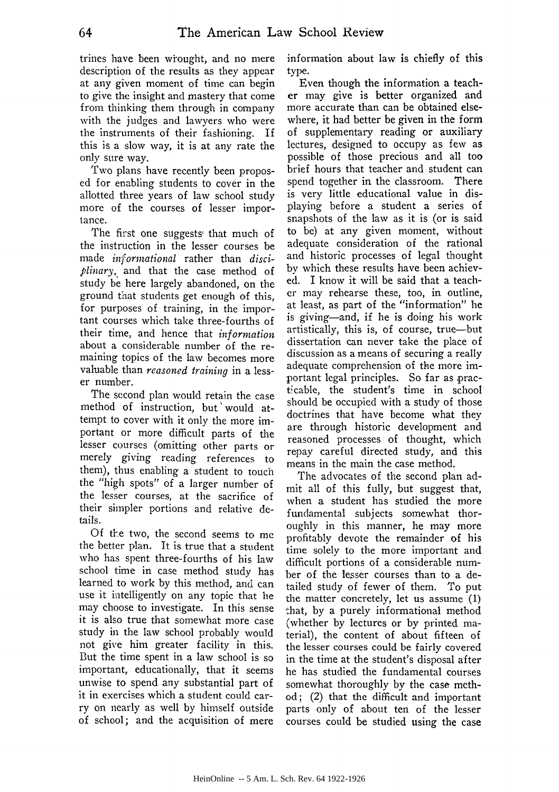trines have been wrought, and no mere description of the results as they appear at any given moment of time can begin to give the insight and mastery that come from thinking them through in company with the judges and lawyers who were the instruments of their fashioning. If this is a slow way, it is at any rate the only sure way.

Two plans have recently been proposed for enabling students to cover in the allotted three years of law school study more of the courses of lesser importance.

The first one suggests that much of the instruction in the lesser courses be made *informational* rather than *disciplinary,* and that the case method of study be here largely abandoned, on the ground that students get enough of this, for purposes of training, in the important courses which take three-fourths of their time, and hence that *information* about a considerable number of the remaining topics of the law becomes more valuable than *reasoned training* in a lesser number.

The second plan would retain the case method of instruction, but'would attempt to cover with it only the more important or more difficult parts of the lesser courses (omitting other parts or merely giving reading references to them), thus enabling a student to touch the "high spots" of a larger number of the lesser courses, at the sacrifice of their simpler portions and relative details.

Of the two, the second seems to me the better plan, It is true that a student who has spent three-fourths of his law school time in case method study has learned to work **by** this method, and can use it intelligently on any topic that he may choose to investigate. In this sense it is also true that somewhat more case study in the law school probably would not give him greater facility in this. But the time spent in a law school is so important, educationally, that it seems unwise to spend any substantial part of it in exercises which a student could carry on nearly as well **by** himself outside of school; and the acquisition of mere

information about law is chiefly of this type.

Even though the information a teacher may give is better organized and more accurate than can be obtained elsewhere, it had better be given in the form of supplementary reading or auxiliary lectures, designed to occupy as few as possible of those precious and all too brief hours that teacher and student can spend together in the classroom. There is very little educational value in displaying before a student a series of snapshots of the law as it is (or is said to **be)** at any given moment, without adequate consideration of the rational and historic processes of legal thought **by** which these results have been achiev**ed.** I know it will be said that a teacher may rehearse these, too, in outline, at least, as part of the "information" **he** is giving-and, if he is doing his work artistically, this is, of course, true-but dissertation can never take the place of discussion as a means of securing a really adequate comprehension of the more important legal principles. So far as practicable, the student's time in school should **be** occupied with a study of those doctrines that have become what they are through historic development and reasoned processes of thought, which repay careful directed study, and this means in the main the case method.

The advocates of the second plan admit all of this fully, but suggest that, when a student has studied the more fundamental subjects somewhat thoroughly in this manner, he may more profitably devote the remainder of his time solely to the more important and difficult portions of a considerable number of the lesser courses than to a detailed study of fewer of them. To put the matter concretely, let us assume (1) that, by a purely informational method (whether by lectures or by printed material), the content of about fifteen of the lesser courses could be fairly covered in the time at the student's disposal after he has studied the fundamental courses somewhat thoroughly by the case method; (2) that the difficult and important parts only of about ten of the lesser courses could be studied using the case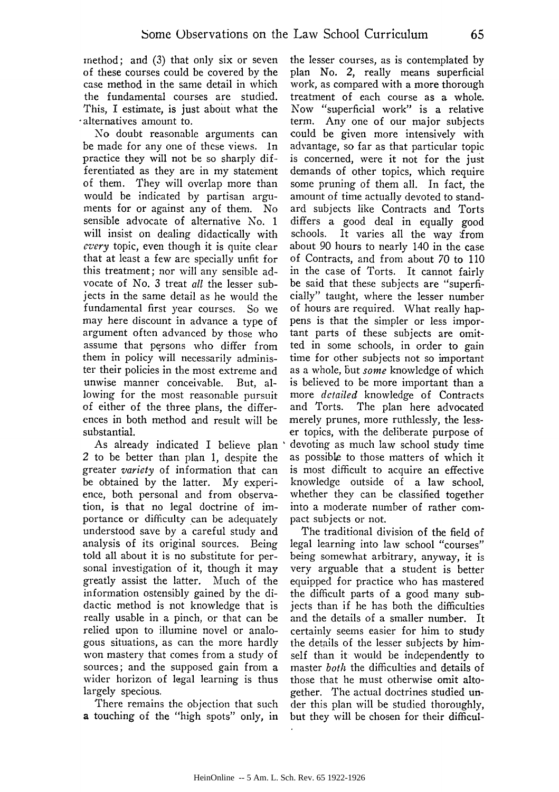method; and (3) that only six or seven of these courses could be covered by the case method in the same detail in which the fundamental courses are studied. This, I estimate, is just about what the -alternatives amount to.

No doubt reasonable arguments can be made for any one of these views. In practice they will not be so sharply differentiated as they are in my statement of them. They will overlap more than would be indicated by partisan arguments for or against any of them. No sensible advocate of alternative No. 1 will insist on dealing didactically with *every* topic, even though it is quite clear that at least a few are specially unfit for this treatment; nor will any sensible advocate of No. 3 treat *all* the lesser subjects in the same detail as he would the fundamental first year courses. So we may here discount in advance a type of argument often advanced by those who assume that persons who differ from them in policy will necessarily administer their policies in the most extreme and unwise manner conceivable. But, allowing for the most reasonable pursuit of either of the three plans, the differences in both method and result will be substantial.

As already indicated I believe plan 2 to be better than plan 1, despite the greater *variety* of information that can be obtained by the latter. My experience, both personal and from observation, is that no legal doctrine of importance or difficulty can be adequately understood save by a careful study and analysis of its original sources. Being told all about it is no substitute for personal investigation of it, though it may greatly assist the latter. Much of the information ostensibly gained by the didactic method is not knowledge that is really usable in a pinch, or that can be relied upon to illumine novel or analogous situations, as can the more hardly won mastery that comes from a study of sources; and the supposed gain from a wider horizon of legal learning is thus largely specious.

There remains the objection that such a touching of the "high spots" only, in the lesser courses, as is contemplated by plan No. 2, really means superficial work, as compared with a more thorough treatment of each course as a whole. Now "superficial work" is a relative term. Any one of our major subjects could be given more intensively with advantage, so far as that particular topic is concerned, were it not for the just demands of other topics, which require some pruning of them all. In fact, the amount of time actually devoted to standard subjects like Contracts and Torts differs a good deal in equally good schools. It varies all the way from about 90 hours to nearly 140 in the case of Contracts, and from about 70 to 110 in the case of Torts. It cannot fairly be said that these subjects are "superficially" taught, where the lesser number of hours are required. What really happens is that the simpler or less important parts of these subjects are omitted in some schools, in order to gain time for other subjects not so important as a whole, but *some* knowledge of which is believed to be more important than a more *detailed* knowledge of Contracts and Torts. The plan here advocated merely prunes, more ruthlessly, the lesser topics, with the deliberate purpose of devoting as much law school study time as possible to those matters of which it is most difficult to acquire an effective knowledge outside of a law school, whether they can be classified together into a moderate number of rather compact subjects or not.

The traditional division of the field of legal learning into law school "courses" being somewhat arbitrary, anyway, it is very arguable that a student is better equipped for practice who has mastered the difficult parts of a good many subjects than if he has both the difficulties and the details of a smaller number. It certainly seems easier for him to study the details of the lesser subjects by himself than it would be independently to master *both* the difficulties and details of those that he must otherwise omit altogether. The actual doctrines studied under this plan will be studied thoroughly, but they will be chosen for their difficul